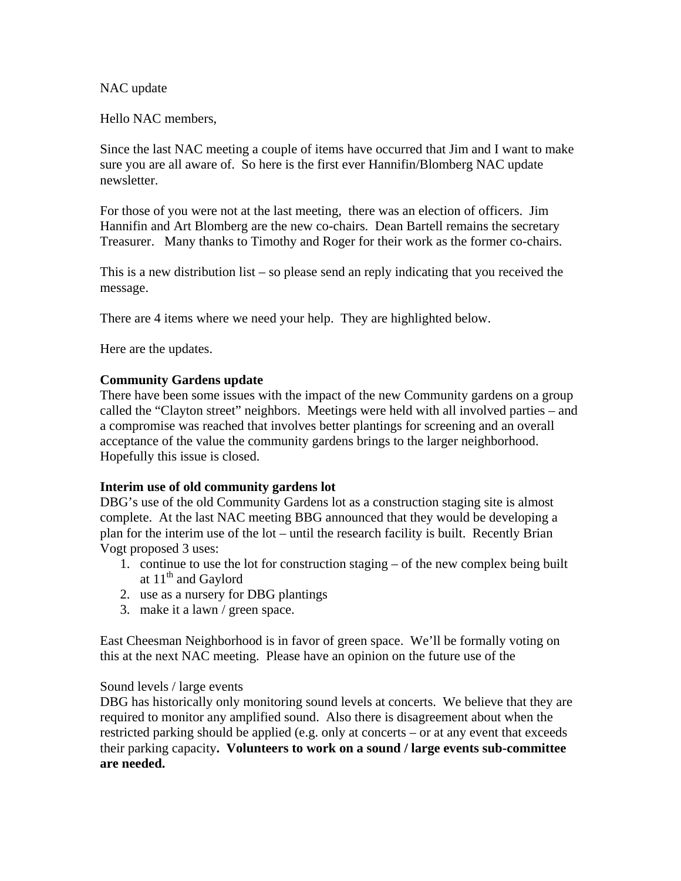NAC update

Hello NAC members,

Since the last NAC meeting a couple of items have occurred that Jim and I want to make sure you are all aware of. So here is the first ever Hannifin/Blomberg NAC update newsletter.

For those of you were not at the last meeting, there was an election of officers. Jim Hannifin and Art Blomberg are the new co-chairs. Dean Bartell remains the secretary Treasurer. Many thanks to Timothy and Roger for their work as the former co-chairs.

This is a new distribution list – so please send an reply indicating that you received the message.

There are 4 items where we need your help. They are highlighted below.

Here are the updates.

# **Community Gardens update**

There have been some issues with the impact of the new Community gardens on a group called the "Clayton street" neighbors. Meetings were held with all involved parties – and a compromise was reached that involves better plantings for screening and an overall acceptance of the value the community gardens brings to the larger neighborhood. Hopefully this issue is closed.

# **Interim use of old community gardens lot**

DBG's use of the old Community Gardens lot as a construction staging site is almost complete. At the last NAC meeting BBG announced that they would be developing a plan for the interim use of the lot – until the research facility is built. Recently Brian Vogt proposed 3 uses:

- 1. continue to use the lot for construction staging of the new complex being built at  $11<sup>th</sup>$  and Gaylord
- 2. use as a nursery for DBG plantings
- 3. make it a lawn / green space.

East Cheesman Neighborhood is in favor of green space. We'll be formally voting on this at the next NAC meeting. Please have an opinion on the future use of the

# Sound levels / large events

DBG has historically only monitoring sound levels at concerts. We believe that they are required to monitor any amplified sound. Also there is disagreement about when the restricted parking should be applied (e.g. only at concerts – or at any event that exceeds their parking capacity**. Volunteers to work on a sound / large events sub-committee are needed.**